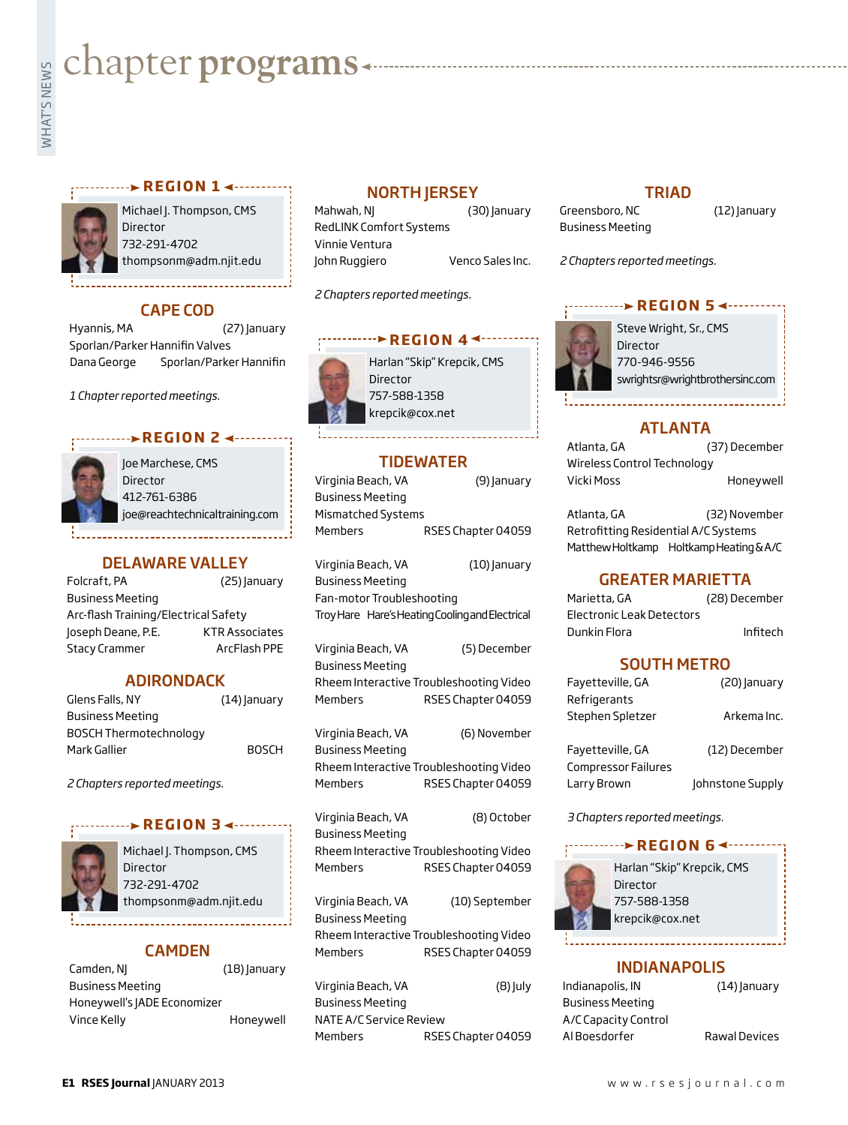# **whater programs**<br>Example:<br>Fig. 1

### **REGION 14 - - - - - - - -**



Michael J. Thompson, CMS Director 732-291-4702 thompsonm@adm.njit.edu

# CAPE COD

Hyannis, MA (27) January Sporlan/Parker Hannifin Valves Dana George Sporlan/Parker Hannifin

*1 Chapter reported meetings.*

# **r e g i o n 2**

| Joe Marchese, CMS              |
|--------------------------------|
| Director                       |
| 412-761-6386                   |
| joe@reachtechnicaltraining.com |

# DELAWARE VALLEY

| Folcraft, PA                         | (25) January          |
|--------------------------------------|-----------------------|
| <b>Business Meeting</b>              |                       |
| Arc-flash Training/Electrical Safety |                       |
| Joseph Deane, P.E.                   | <b>KTR Associates</b> |
| <b>Stacy Crammer</b>                 | ArcFlash PPE          |

# ADIRONDACK

| Glens Falls, NY               | $(14)$ anuary |
|-------------------------------|---------------|
| <b>Business Meeting</b>       |               |
| <b>BOSCH Thermotechnology</b> |               |
| Mark Gallier                  | <b>BOSCH</b>  |

*2 Chapters reported meetings.*



Michael J. Thompson, CMS **Director** 732-291-4702 thompsonm@adm.njit.edu

**REGION 3 ∢ ········** 

# CAMDEN

| Camden, NJ                  | $(18)$ anuary |  |
|-----------------------------|---------------|--|
| <b>Business Meeting</b>     |               |  |
| Honeywell's JADE Economizer |               |  |
| Vince Kelly                 | Honeywell     |  |

# **NORTH JERSEY**

Mahwah, NJ (30) January RedLINK Comfort Systems Vinnie Ventura John Ruggiero Venco Sales Inc.

*2 Chapters reported meetings.*



# TIDEWATER

| Virginia Beach, VA | (9) January        |
|--------------------|--------------------|
| Business Meeting   |                    |
| Mismatched Systems |                    |
| Members            | RSES Chapter 04059 |
|                    |                    |

| Virginia Beach, VA<br>Business Meeting<br>Fan-motor Troubleshooting | (10) January<br>Troy Hare Hare's Heating Cooling and Electrical |
|---------------------------------------------------------------------|-----------------------------------------------------------------|
| Virginia Beach, VA<br><b>Business Meeting</b>                       | (5) December                                                    |
|                                                                     | Rheem Interactive Troubleshooting Video                         |
| Members                                                             | RSES Chapter 04059                                              |
| Virginia Beach, VA<br><b>Business Meeting</b>                       | (6) November                                                    |
|                                                                     | Rheem Interactive Troubleshooting Video                         |
| Members                                                             | RSES Chapter 04059                                              |
| Virginia Beach, VA<br><b>Business Meeting</b>                       | (8) October                                                     |
| Members                                                             | Rheem Interactive Troubleshooting Video<br>RSES Chapter 04059   |

Virginia Beach, VA (10) September Business Meeting Rheem Interactive Troubleshooting Video Members RSES Chapter 04059

| Virginia Beach, VA      |                    | $(8)$ July |
|-------------------------|--------------------|------------|
| Business Meeting        |                    |            |
| NATE A/C Service Review |                    |            |
| Members                 | RSES Chapter 04059 |            |

# TRIAD

Greensboro, NC (12) January Business Meeting

*2 Chapters reported meetings.*

# **r e g i o n 5**



Steve Wright, Sr., CMS Director 770-946-9556 swrightsr@wrightbrothersinc.com

# ATLANTA

| Atlanta, GA                 | (37) December |
|-----------------------------|---------------|
| Wireless Control Technology |               |
| Vicki Moss                  | Honeywell     |

Atlanta, GA (32) November Retrofitting Residential A/C Systems Matthew Holtkamp Holtkamp Heating & A/C

# GREATER MARIETTA

| Marietta, GA              | (28) December |
|---------------------------|---------------|
| Electronic Leak Detectors |               |
| Dunkin Flora              | Infitech      |

# SOUTH METRO

| Favetteville, GA           | (20) January     |
|----------------------------|------------------|
| Refrigerants               |                  |
| Stephen Spletzer           | Arkema Inc.      |
|                            |                  |
| Favetteville, GA           | (12) December    |
| <b>Compressor Failures</b> |                  |
| Larry Brown                | Johnstone Supply |

*3 Chapters reported meetings.*

# **REGION 6 <--------**



# INDIANAPOLIS

| Indianapolis, IN        | $(14)$ anuary        |
|-------------------------|----------------------|
| <b>Business Meeting</b> |                      |
| A/C Capacity Control    |                      |
| Al Boesdorfer           | <b>Rawal Devices</b> |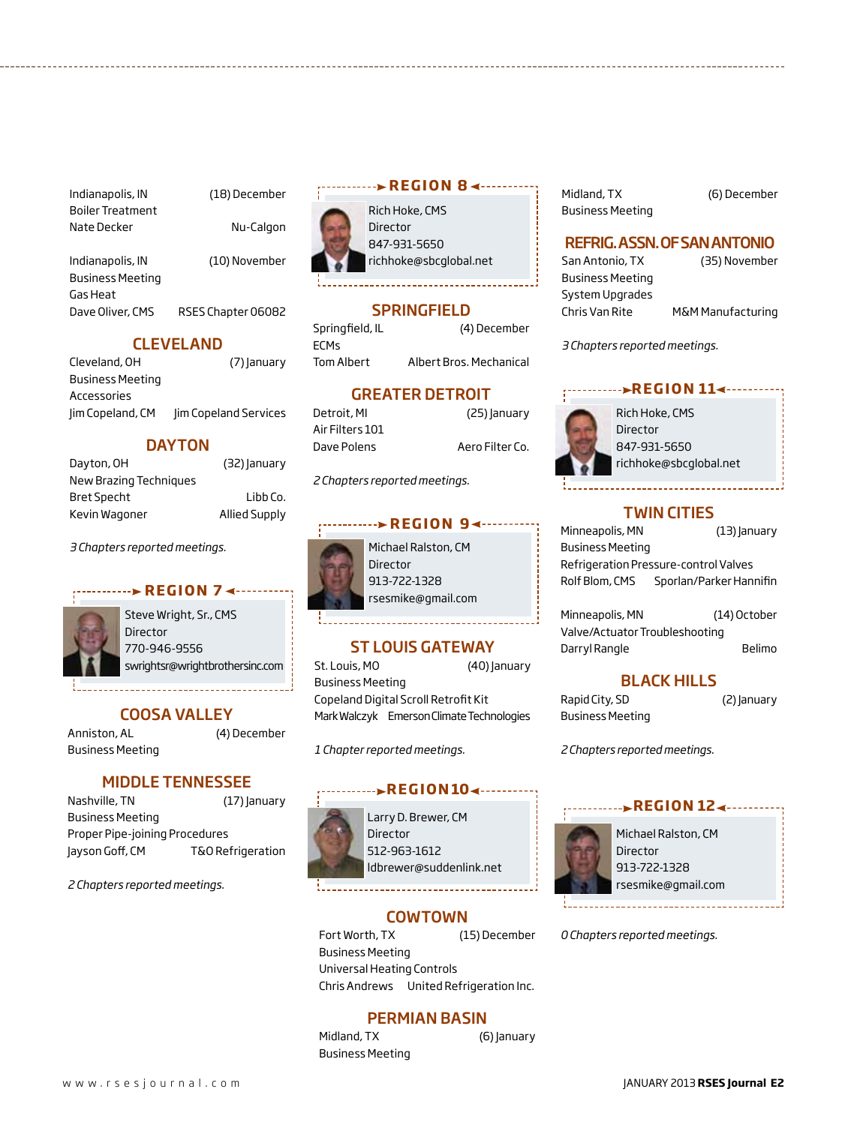Indianapolis, IN (18) December Boiler Treatment Nate Decker Nu-Calgon

Indianapolis, IN (10) November Business Meeting Gas Heat

Dave Oliver, CMS RSES Chapter 06082

# CLEVELAND

| Cleveland, OH           | (7) January           |
|-------------------------|-----------------------|
| <b>Business Meeting</b> |                       |
| Accessories             |                       |
| Jim Copeland, CM        | Jim Copeland Services |

# **DAYTON**

| Dayton, OH             | (32) January         |
|------------------------|----------------------|
| New Brazing Techniques |                      |
| <b>Bret Specht</b>     | Libb Co.             |
| Kevin Wagoner          | <b>Allied Supply</b> |

# *3 Chapters reported meetings.*



Steve Wright, Sr., CMS Director 770-946-9556 swrightsr@wrightbrothersinc.com

# COOSA VALLEY

Anniston, AL (4) December Business Meeting

# MIDDLE TENNESSEE

Nashville, TN (17) January Business Meeting Proper Pipe-joining Procedures Jayson Goff, CM T&O Refrigeration

*2 Chapters reported meetings.*

# Rich Hoke, CMS **r e g i o n 8**

Director 847-931-5650 richhoke@sbcglobal.net

# **SPRINGFIELD**

Springfield, IL (4) December ECMs Tom Albert Albert Bros. Mechanical

# GREATER DETROIT

Detroit, MI (25) January Air Filters 101 Dave Polens **Aero Filter Co.** 

*2 Chapters reported meetings.*

# **REGION 94 -------**

Michael Ralston, CM **Director** 913-722-1328 rsesmike@gmail.com

# ST LOUIS GATEWAY

St. Louis, MO (40) January Business Meeting Copeland Digital Scroll Retrofit Kit Mark Walczyk Emerson Climate Technologies

*1 Chapter reported meetings.*

# **REGION104 -------**

Larry D. Brewer, CM Director 512-963-1612 ldbrewer@suddenlink.net

# **COWTOWN**

Fort Worth, TX (15) December Business Meeting Universal Heating Controls Chris Andrews United Refrigeration Inc.

# PERMIAN BASIN

Midland, TX (6) January Business Meeting

Midland, TX (6) December Business Meeting

# REFRIG. ASSN. OF SAN ANTONIO

Business Meeting System Upgrades

San Antonio, TX (35) November Chris Van Rite M&M Manufacturing

*3 Chapters reported meetings.*

### *REGION 114*



Rich Hoke, CMS **Director** 847-931-5650 richhoke@sbcglobal.net

# TWIN CITIES

Minneapolis, MN (13) January Business Meeting Refrigeration Pressure-control Valves Rolf Blom, CMS Sporlan/Parker Hannifin

Minneapolis, MN (14) October Valve/Actuator Troubleshooting Darryl Rangle Belimo

# BLACK HILLS

Rapid City, SD (2) January Business Meeting

*2 Chapters reported meetings.*

# **REGION 124.....**



Michael Ralston, CM Director 913-722-1328 rsesmike@gmail.com

*0 Chapters reported meetings.*